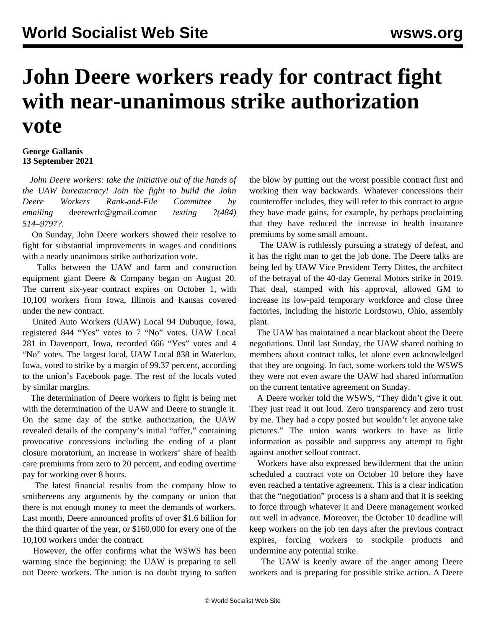## **John Deere workers ready for contract fight with near-unanimous strike authorization vote**

## **George Gallanis 13 September 2021**

 *John Deere workers: take the initiative out of the hands of the UAW bureaucracy! Join the fight to build the John Deere Workers Rank-and-File Committee by emailing* [deerewrfc@gmail.com](mailto:deerewrfc@gmail.com)*or texting ?(484) 514–9797?.*

 On Sunday, John Deere workers showed their resolve to fight for substantial improvements in wages and conditions with a nearly unanimous strike authorization vote.

 Talks between the UAW and farm and construction equipment giant Deere & Company began on August 20. The current six-year contract expires on October 1, with 10,100 workers from Iowa, Illinois and Kansas covered under the new contract.

 United Auto Workers (UAW) Local 94 Dubuque, Iowa, registered 844 "Yes" votes to 7 "No" votes. UAW Local 281 in Davenport, Iowa, recorded 666 "Yes" votes and 4 "No" votes. The largest local, UAW Local 838 in Waterloo, Iowa, voted to strike by a margin of 99.37 percent, according to the union's Facebook page. The rest of the locals voted by similar margins.

 The determination of Deere workers to fight is being met with the determination of the UAW and Deere to strangle it. On the same day of the strike authorization, the UAW revealed details of the company's initial "offer," containing provocative concessions including the ending of a plant closure moratorium, an increase in workers' share of health care premiums from zero to 20 percent, and ending overtime pay for working over 8 hours.

 The latest financial results from the company blow to smithereens any arguments by the company or union that there is not enough money to meet the demands of workers. Last month, Deere announced profits of over \$1.6 billion for the third quarter of the year, or \$160,000 for every one of the 10,100 workers under the contract.

 However, the offer confirms what the WSWS has been warning since the beginning: the UAW is preparing to sell out Deere workers. The union is no doubt trying to soften the blow by putting out the worst possible contract first and working their way backwards. Whatever concessions their counteroffer includes, they will refer to this contract to argue they have made gains, for example, by perhaps proclaiming that they have reduced the increase in health insurance premiums by some small amount.

 The UAW is ruthlessly pursuing a strategy of defeat, and it has the right man to get the job done. The Deere talks are being led by UAW Vice President Terry Dittes, the architect of the betrayal of the 40-day [General Motors strike](/en/articles/2019/10/11/whoi-o11.html) in 2019. That deal, stamped with his approval, allowed GM to increase its low-paid temporary workforce and close three factories, including the historic Lordstown, Ohio, assembly plant.

 The UAW has maintained a near blackout about the Deere negotiations. Until last Sunday, the UAW shared nothing to members about contract talks, let alone even acknowledged that they are ongoing. In fact, some workers told the WSWS they were not even aware the UAW had shared information on the current tentative agreement on Sunday.

 A Deere worker told the WSWS, "They didn't give it out. They just read it out loud. Zero transparency and zero trust by me. They had a copy posted but wouldn't let anyone take pictures." The union wants workers to have as little information as possible and suppress any attempt to fight against another sellout contract.

 Workers have also expressed bewilderment that the union scheduled a contract vote on October 10 before they have even reached a tentative agreement. This is a clear indication that the "negotiation" process is a sham and that it is seeking to force through whatever it and Deere management worked out well in advance. Moreover, the October 10 deadline will keep workers on the job ten days after the previous contract expires, forcing workers to stockpile products and undermine any potential strike.

 The UAW is keenly aware of the anger among Deere workers and is preparing for possible strike action. A Deere